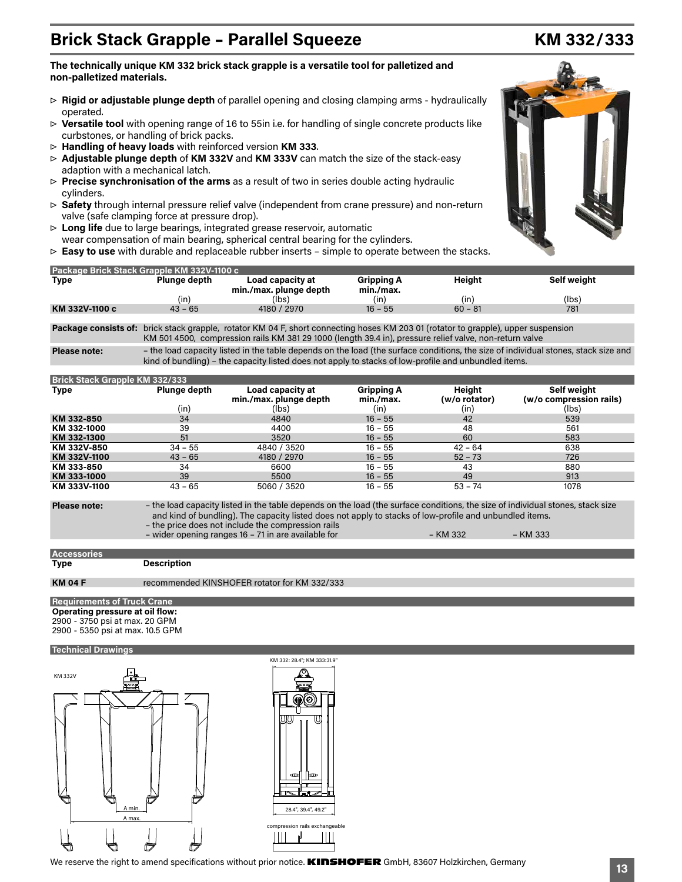## **non-palletized materials.**

- ▷ **Rigid or adjustable plunge depth** of parallel opening and closing clamping arms hydraulically operated.
- ▷ **Versatile tool** with opening range of 16 to 55in i.e. for handling of single concrete products like curbstones, or handling of brick packs.
- ▷ **Handling of heavy loads** with reinforced version **KM 333**.
- ▷ **Adjustable plunge depth** of **KM 332V** and **KM 333V** can match the size of the stack-easy adaption with a mechanical latch.

**The technically unique KM 332 brick stack grapple is a versatile tool for palletized and** 

- ▷ **Precise synchronisation of the arms** as a result of two in series double acting hydraulic cylinders.
- ▷ **Safety** through internal pressure relief valve (independent from crane pressure) and non-return valve (safe clamping force at pressure drop).
- ▷ **Long life** due to large bearings, integrated grease reservoir, automatic wear compensation of main bearing, spherical central bearing for the cylinders.
- ▷ **Easy to use** with durable and replaceable rubber inserts simple to operate between the stacks.

| Package Brick Stack Grapple KM 332V-1100 c |              |                                            |                                |           |             |  |  |  |  |
|--------------------------------------------|--------------|--------------------------------------------|--------------------------------|-----------|-------------|--|--|--|--|
| Type                                       | Plunge depth | Load capacity at<br>min./max. plunge depth | <b>Gripping A</b><br>min./max. | Heiaht    | Self weight |  |  |  |  |
|                                            | (in)         | (lbs)                                      | (in)                           | (in)      | (lbs)       |  |  |  |  |
| KM 332V-1100 c                             | $43 - 65$    | 4180 / 2970                                | $16 - 55$                      | $60 - 81$ | 781         |  |  |  |  |

**Package consists of:** brick stack grapple, rotator KM 04 F, short connecting hoses KM 203 01 (rotator to grapple), upper suspension KM 501 4500, compression rails KM 381 29 1000 (length 39.4 in), pressure relief valve, non-return valve

**Please note:** – the load capacity listed in the table depends on the load (the surface conditions, the size of individual stones, stack size and kind of bundling) – the capacity listed does not apply to stacks of low-profile and unbundled items.

| <b>Brick Stack Grapple KM 332/333</b> |              |                                            |                                |                                |                                        |  |  |
|---------------------------------------|--------------|--------------------------------------------|--------------------------------|--------------------------------|----------------------------------------|--|--|
| <b>Type</b>                           | Plunge depth | Load capacity at<br>min./max. plunge depth | <b>Gripping A</b><br>min./max. | <b>Height</b><br>(w/o rotator) | Self weight<br>(w/o compression rails) |  |  |
|                                       | (in)         | (lbs)                                      | (in)                           | (in)                           | (lbs)                                  |  |  |
| KM 332-850                            | 34           | 4840                                       | $16 - 55$                      | 42                             | 539                                    |  |  |
| KM 332-1000                           | 39           | 4400                                       | $16 - 55$                      | 48                             | 561                                    |  |  |
| KM 332-1300                           | 51           | 3520                                       | $16 - 55$                      | 60                             | 583                                    |  |  |
| KM 332V-850                           | $34 - 55$    | 4840 / 3520                                | $16 - 55$                      | $42 - 64$                      | 638                                    |  |  |
| KM 332V-1100                          | $43 - 65$    | 4180 / 2970                                | $16 - 55$                      | $52 - 73$                      | 726                                    |  |  |
| KM 333-850                            | 34           | 6600                                       | $16 - 55$                      | 43                             | 880                                    |  |  |
| KM 333-1000                           | 39           | 5500                                       | $16 - 55$                      | 49                             | 913                                    |  |  |
| KM 333V-1100                          | $43 - 65$    | 5060 / 3520                                | $16 - 55$                      | $53 - 74$                      | 1078                                   |  |  |

**Please note:** – the load capacity listed in the table depends on the load (the surface conditions, the size of individual stones, stack size and kind of bundling). The capacity listed does not apply to stacks of low-profile and unbundled items. – the price does not include the compression rails

– wider opening ranges 16 – 71 in are available for – KM 332 – KM 333

**Description** 

**Requirements of Truck Crane**

**Operating pressure at oil flow:**

2900 - 3750 psi at max. 20 GPM

2900 - 5350 psi at max. 10.5 GPM

### **Technical Drawings**





# **Brick Stack Grapple - Parallel Squeeze KM 332/333**



**Accessories**<br>Type

**KM 04 F** recommended KINSHOFER rotator for KM 332/333